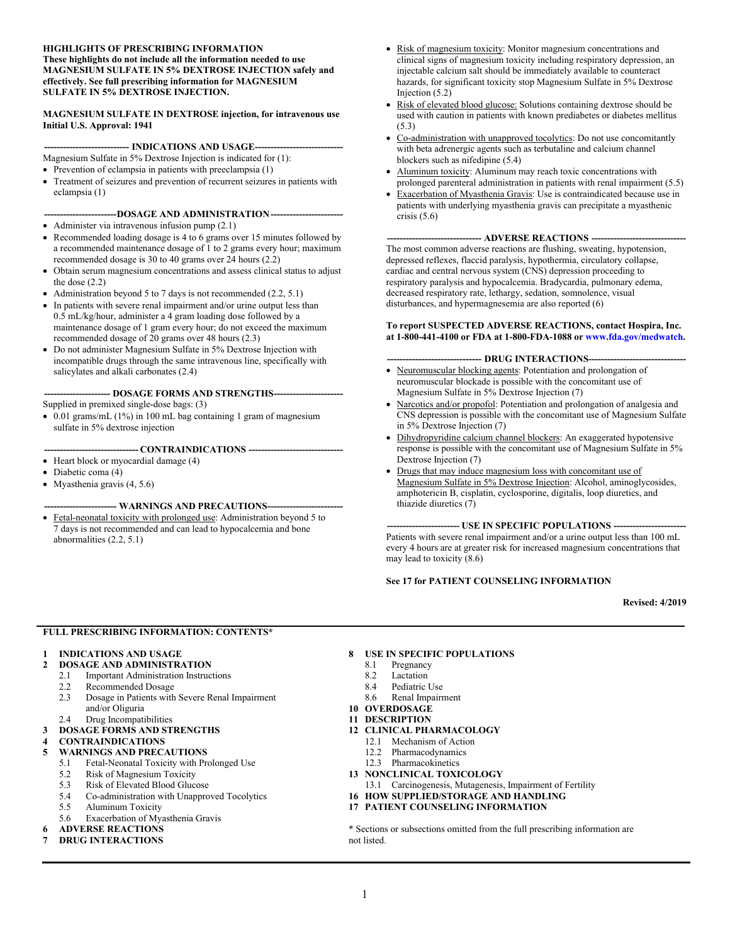#### **HIGHLIGHTS OF PRESCRIBING INFORMATION These highlights do not include all the information needed to use MAGNESIUM SULFATE IN 5% DEXTROSE INJECTION safely and effectively. See full prescribing information for MAGNESIUM SULFATE IN 5% DEXTROSE INJECTION.**

#### **MAGNESIUM SULFATE IN DEXTROSE injection, for intravenous use Initial U.S. Approval: 1941**

#### --- **INDICATIONS AND USAGE----**

- Magnesium Sulfate in 5% Dextrose Injection is indicated for (1):
- $\bullet$  Prevention of eclampsia in patients with preeclampsia (1)
- Treatment of seizures and prevention of recurrent seizures in patients with eclampsia (1)

#### **-----------------------DOSAGE AND ADMINISTRATION-----------------------**

- Administer via intravenous infusion pump  $(2.1)$
- Recommended loading dosage is 4 to 6 grams over 15 minutes followed by a recommended maintenance dosage of 1 to 2 grams every hour; maximum recommended dosage is 30 to 40 grams over 24 hours (2.2)
- Obtain serum magnesium concentrations and assess clinical status to adjust the dose (2.2)
- Administration beyond 5 to 7 days is not recommended  $(2.2, 5.1)$
- In patients with severe renal impairment and/or urine output less than 0.5 mL/kg/hour, administer a 4 gram loading dose followed by a maintenance dosage of 1 gram every hour; do not exceed the maximum recommended dosage of 20 grams over 48 hours (2.3)
- Do not administer Magnesium Sulfate in 5% Dextrose Injection with incompatible drugs through the same intravenous line, specifically with salicylates and alkali carbonates (2.4)

#### -- **DOSAGE FORMS AND STRENGTHS---**

Supplied in premixed single-dose bags: (3)

 $\bullet$  0.01 grams/mL (1%) in 100 mL bag containing 1 gram of magnesium sulfate in 5% dextrose injection

#### **------------------------------ CONTRAINDICATIONS ------------------------------**

- $\bullet$  Heart block or myocardial damage (4)
- Diabetic coma (4)
- $\bullet$  Myasthenia gravis (4, 5.6)

#### **----------------------- WARNINGS AND PRECAUTIONS------------------------**

• Fetal-neonatal toxicity with prolonged use: Administration beyond 5 to 7 days is not recommended and can lead to hypocalcemia and bone abnormalities (2.2, 5.1)

- Risk of magnesium toxicity: Monitor magnesium concentrations and clinical signs of magnesium toxicity including respiratory depression, an injectable calcium salt should be immediately available to counteract hazards, for significant toxicity stop Magnesium Sulfate in 5% Dextrose Injection (5.2)
- Risk of elevated blood glucose: Solutions containing dextrose should be used with caution in patients with known prediabetes or diabetes mellitus (5.3)
- Co-administration with unapproved tocolytics: Do not use concomitantly with beta adrenergic agents such as terbutaline and calcium channel blockers such as nifedipine (5.4)
- Aluminum toxicity: Aluminum may reach toxic concentrations with prolonged parenteral administration in patients with renal impairment (5.5)
- Exacerbation of Myasthenia Gravis: Use is contraindicated because use in patients with underlying myasthenia gravis can precipitate a myasthenic crisis  $(5.6)$

#### **------------------------------ ADVERSE REACTIONS ------------------------------**

The most common adverse reactions are flushing, sweating, hypotension, depressed reflexes, flaccid paralysis, hypothermia, circulatory collapse, cardiac and central nervous system (CNS) depression proceeding to respiratory paralysis and hypocalcemia. Bradycardia, pulmonary edema, decreased respiratory rate, lethargy, sedation, somnolence, visual disturbances, and hypermagnesemia are also reported (6)

#### **To report SUSPECTED ADVERSE REACTIONS, contact Hospira, Inc. at 1-800-441-4100 or FDA at 1-800-FDA-1088 or [www.fda.gov/medwatch](http://www.fda.gov/medwatch).**

#### - **DRUG INTERACTIONS--**

- Neuromuscular blocking agents: Potentiation and prolongation of neuromuscular blockade is possible with the concomitant use of Magnesium Sulfate in 5% Dextrose Injection (7)
- Narcotics and/or propofol: Potentiation and prolongation of analgesia and CNS depression is possible with the concomitant use of Magnesium Sulfate in 5% Dextrose Injection (7)
- Dihydropyridine calcium channel blockers: An exaggerated hypotensive response is possible with the concomitant use of Magnesium Sulfate in 5% Dextrose Injection (7)
- Drugs that may induce magnesium loss with concomitant use of Magnesium Sulfate in 5% Dextrose Injection: Alcohol, aminoglycosides, amphotericin B, cisplatin, cyclosporine, digitalis, loop diuretics, and thiazide diuretics (7)

**--- USE IN SPECIFIC POPULATIONS ---**Patients with severe renal impairment and/or a urine output less than 100 mL every 4 hours are at greater risk for increased magnesium concentrations that may lead to toxicity (8.6)

#### **See 17 for PATIENT COUNSELING INFORMATION**

**Revised: 4/2019**

#### **FULL PRESCRIBING INFORMATION: CONTENTS\***

# **1 INDICATIONS AND USAGE**

- **2 DOSAGE AND ADMINISTRATION**
- 2.1 Important Administration Instructions<br>2.2 Recommended Dosage
- 2.2 Recommended Dosage<br>2.3 Dosage in Patients with
- 2.3 Dosage in Patients with Severe Renal Impairment and/or Oliguria
- 2.4 Drug Incompatibilities
- **3 DOSAGE FORMS AND STRENGTHS**
- **4 CONTRAINDICATIONS**
- **5 WARNINGS AND PRECAUTIONS**
	- 5.1 Fetal-Neonatal Toxicity with Prolonged Use
	- 5.2 Risk of Magnesium Toxicity
	- 5.3 Risk of Elevated Blood Glucose
	- 5.4 Co-administration with Unapproved Tocolytics
	- 5.5 Aluminum Toxicity
	- 5.6 Exacerbation of Myasthenia Gravis
- **6 ADVERSE REACTIONS**
- **7 DRUG INTERACTIONS**

# **8 USE IN SPECIFIC POPULATIONS**<br>8.1 **Pregnancy**

- Pregnancy
- 8.2 Lactation<br>8.4 Pediatric
- Pediatric Use
- 8.6 Renal Impairment
- **10 OVERDOSAGE**
- **11 DESCRIPTION**
- **12 CLINICAL PHARMACOLOGY**
	- 12.1 Mechanism of Action
	- 12.2 Pharmacodynamics
	- 12.3 Pharmacokinetics
- **13 NONCLINICAL TOXICOLOGY**
- 13.1 Carcinogenesis, Mutagenesis, Impairment of Fertility
- **16 HOW SUPPLIED/STORAGE AND HANDLING**
- **17 PATIENT COUNSELING INFORMATION**

\* Sections or subsections omitted from the full prescribing information are not listed.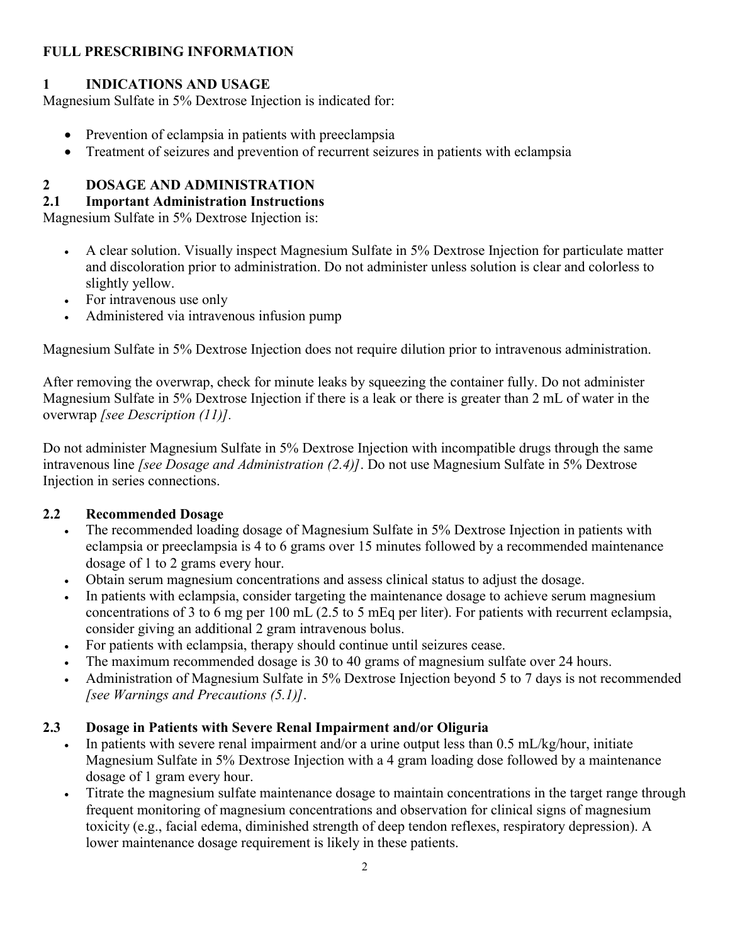# **FULL PRESCRIBING INFORMATION**

# **1 INDICATIONS AND USAGE**

Magnesium Sulfate in 5% Dextrose Injection is indicated for:

- Prevention of eclampsia in patients with preeclampsia
- Treatment of seizures and prevention of recurrent seizures in patients with eclampsia

# **2 DOSAGE AND ADMINISTRATION**

# **2.1 Important Administration Instructions**

Magnesium Sulfate in 5% Dextrose Injection is:

- A clear solution. Visually inspect Magnesium Sulfate in 5% Dextrose Injection for particulate matter and discoloration prior to administration. Do not administer unless solution is clear and colorless to slightly yellow.
- For intravenous use only
- Administered via intravenous infusion pump

Magnesium Sulfate in 5% Dextrose Injection does not require dilution prior to intravenous administration.

After removing the overwrap, check for minute leaks by squeezing the container fully. Do not administer Magnesium Sulfate in 5% Dextrose Injection if there is a leak or there is greater than 2 mL of water in the overwrap *[see Description (11)].*

Do not administer Magnesium Sulfate in 5% Dextrose Injection with incompatible drugs through the same intravenous line *[see Dosage and Administration (2.4)]*. Do not use Magnesium Sulfate in 5% Dextrose Injection in series connections.

# **2.2 Recommended Dosage**

- The recommended loading dosage of Magnesium Sulfate in 5% Dextrose Injection in patients with eclampsia or preeclampsia is 4 to 6 grams over 15 minutes followed by a recommended maintenance dosage of 1 to 2 grams every hour.
- Obtain serum magnesium concentrations and assess clinical status to adjust the dosage.
- In patients with eclampsia, consider targeting the maintenance dosage to achieve serum magnesium concentrations of 3 to 6 mg per 100 mL (2.5 to 5 mEq per liter). For patients with recurrent eclampsia, consider giving an additional 2 gram intravenous bolus.
- For patients with eclampsia, therapy should continue until seizures cease.
- The maximum recommended dosage is 30 to 40 grams of magnesium sulfate over 24 hours.
- Administration of Magnesium Sulfate in 5% Dextrose Injection beyond 5 to 7 days is not recommended *[see Warnings and Precautions (5.1)]*.

# **2.3 Dosage in Patients with Severe Renal Impairment and/or Oliguria**

- In patients with severe renal impairment and/or a urine output less than 0.5 mL/kg/hour, initiate Magnesium Sulfate in 5% Dextrose Injection with a 4 gram loading dose followed by a maintenance dosage of 1 gram every hour.
- Titrate the magnesium sulfate maintenance dosage to maintain concentrations in the target range through frequent monitoring of magnesium concentrations and observation for clinical signs of magnesium toxicity (e.g., facial edema, diminished strength of deep tendon reflexes, respiratory depression). A lower maintenance dosage requirement is likely in these patients.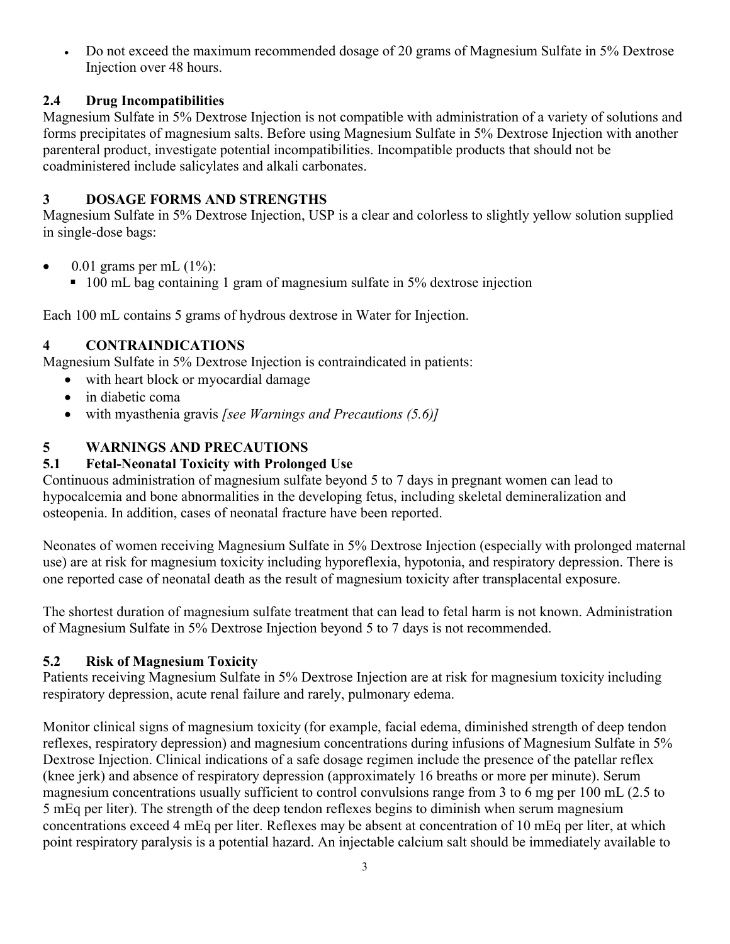Do not exceed the maximum recommended dosage of 20 grams of Magnesium Sulfate in 5% Dextrose Injection over 48 hours.

# **2.4 Drug Incompatibilities**

Magnesium Sulfate in 5% Dextrose Injection is not compatible with administration of a variety of solutions and forms precipitates of magnesium salts. Before using Magnesium Sulfate in 5% Dextrose Injection with another parenteral product, investigate potential incompatibilities. Incompatible products that should not be coadministered include salicylates and alkali carbonates.

# **3 DOSAGE FORMS AND STRENGTHS**

Magnesium Sulfate in 5% Dextrose Injection, USP is a clear and colorless to slightly yellow solution supplied in single-dose bags:

- $\bullet$  0.01 grams per mL  $(1\%)$ :
	- 100 mL bag containing 1 gram of magnesium sulfate in 5% dextrose injection

Each 100 mL contains 5 grams of hydrous dextrose in Water for Injection.

# **4 CONTRAINDICATIONS**

Magnesium Sulfate in 5% Dextrose Injection is contraindicated in patients:

- with heart block or myocardial damage
- in diabetic coma
- with myasthenia gravis *[see Warnings and Precautions (5.6)]*

# **5 WARNINGS AND PRECAUTIONS**

# **5.1 Fetal-Neonatal Toxicity with Prolonged Use**

Continuous administration of magnesium sulfate beyond 5 to 7 days in pregnant women can lead to hypocalcemia and bone abnormalities in the developing fetus, including skeletal demineralization and osteopenia. In addition, cases of neonatal fracture have been reported.

Neonates of women receiving Magnesium Sulfate in 5% Dextrose Injection (especially with prolonged maternal use) are at risk for magnesium toxicity including hyporeflexia, hypotonia, and respiratory depression. There is one reported case of neonatal death as the result of magnesium toxicity after transplacental exposure.

The shortest duration of magnesium sulfate treatment that can lead to fetal harm is not known. Administration of Magnesium Sulfate in 5% Dextrose Injection beyond 5 to 7 days is not recommended.

# **5.2 Risk of Magnesium Toxicity**

Patients receiving Magnesium Sulfate in 5% Dextrose Injection are at risk for magnesium toxicity including respiratory depression, acute renal failure and rarely, pulmonary edema.

Monitor clinical signs of magnesium toxicity (for example, facial edema, diminished strength of deep tendon reflexes, respiratory depression) and magnesium concentrations during infusions of Magnesium Sulfate in 5% Dextrose Injection. Clinical indications of a safe dosage regimen include the presence of the patellar reflex (knee jerk) and absence of respiratory depression (approximately 16 breaths or more per minute). Serum magnesium concentrations usually sufficient to control convulsions range from 3 to 6 mg per 100 mL (2.5 to 5 mEq per liter). The strength of the deep tendon reflexes begins to diminish when serum magnesium concentrations exceed 4 mEq per liter. Reflexes may be absent at concentration of 10 mEq per liter, at which point respiratory paralysis is a potential hazard. An injectable calcium salt should be immediately available to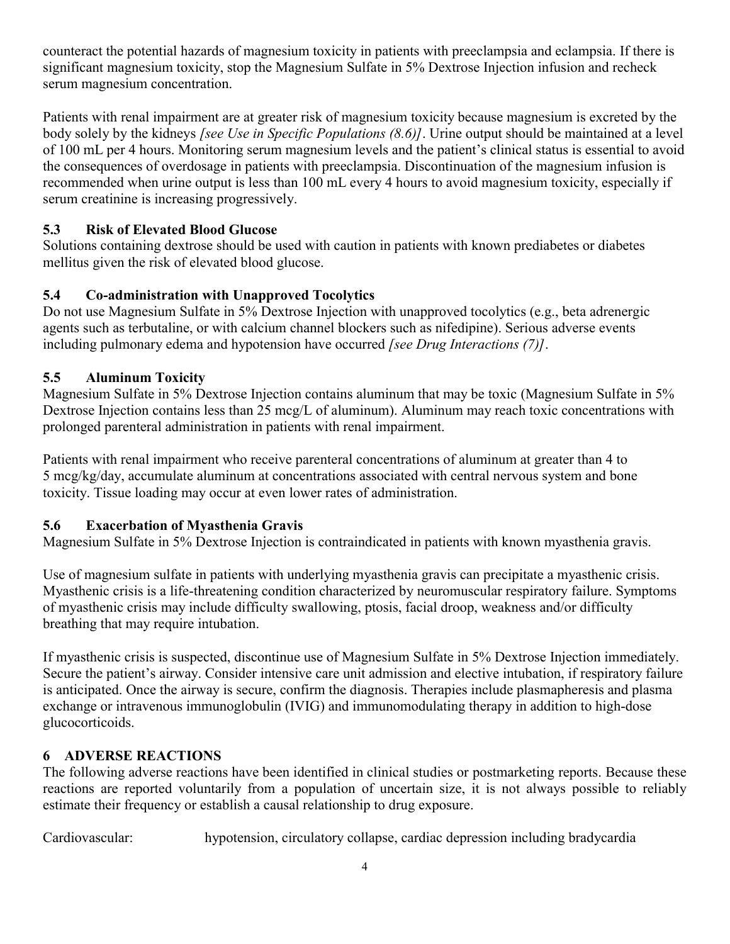counteract the potential hazards of magnesium toxicity in patients with preeclampsia and eclampsia. If there is significant magnesium toxicity, stop the Magnesium Sulfate in 5% Dextrose Injection infusion and recheck serum magnesium concentration.

Patients with renal impairment are at greater risk of magnesium toxicity because magnesium is excreted by the body solely by the kidneys *[see Use in Specific Populations (8.6)]*. Urine output should be maintained at a level of 100 mL per 4 hours. Monitoring serum magnesium levels and the patient's clinical status is essential to avoid the consequences of overdosage in patients with preeclampsia. Discontinuation of the magnesium infusion is recommended when urine output is less than 100 mL every 4 hours to avoid magnesium toxicity, especially if serum creatinine is increasing progressively.

# **5.3 Risk of Elevated Blood Glucose**

Solutions containing dextrose should be used with caution in patients with known prediabetes or diabetes mellitus given the risk of elevated blood glucose.

# **5.4 Co-administration with Unapproved Tocolytics**

Do not use Magnesium Sulfate in 5% Dextrose Injection with unapproved tocolytics (e.g., beta adrenergic agents such as terbutaline, or with calcium channel blockers such as nifedipine). Serious adverse events including pulmonary edema and hypotension have occurred *[see Drug Interactions (7)]*.

# **5.5 Aluminum Toxicity**

Magnesium Sulfate in 5% Dextrose Injection contains aluminum that may be toxic (Magnesium Sulfate in 5% Dextrose Injection contains less than 25 mcg/L of aluminum). Aluminum may reach toxic concentrations with prolonged parenteral administration in patients with renal impairment.

Patients with renal impairment who receive parenteral concentrations of aluminum at greater than 4 to 5 mcg/kg/day, accumulate aluminum at concentrations associated with central nervous system and bone toxicity. Tissue loading may occur at even lower rates of administration.

# **5.6 Exacerbation of Myasthenia Gravis**

Magnesium Sulfate in 5% Dextrose Injection is contraindicated in patients with known myasthenia gravis.

Use of magnesium sulfate in patients with underlying myasthenia gravis can precipitate a myasthenic crisis. Myasthenic crisis is a life-threatening condition characterized by neuromuscular respiratory failure. Symptoms of myasthenic crisis may include difficulty swallowing, ptosis, facial droop, weakness and/or difficulty breathing that may require intubation.

If myasthenic crisis is suspected, discontinue use of Magnesium Sulfate in 5% Dextrose Injection immediately. Secure the patient's airway. Consider intensive care unit admission and elective intubation, if respiratory failure is anticipated. Once the airway is secure, confirm the diagnosis. Therapies include plasmapheresis and plasma exchange or intravenous immunoglobulin (IVIG) and immunomodulating therapy in addition to high-dose glucocorticoids.

# **6 ADVERSE REACTIONS**

The following adverse reactions have been identified in clinical studies or postmarketing reports. Because these reactions are reported voluntarily from a population of uncertain size, it is not always possible to reliably estimate their frequency or establish a causal relationship to drug exposure.

Cardiovascular: hypotension, circulatory collapse, cardiac depression including bradycardia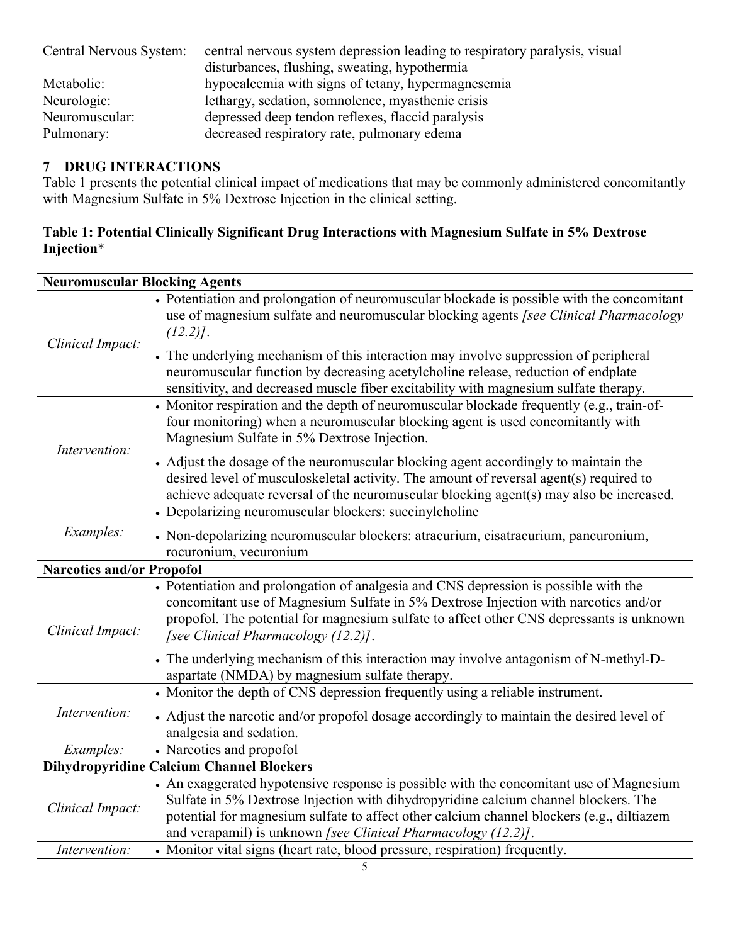| Central Nervous System: | central nervous system depression leading to respiratory paralysis, visual |  |  |
|-------------------------|----------------------------------------------------------------------------|--|--|
|                         | disturbances, flushing, sweating, hypothermia                              |  |  |
| Metabolic:              | hypocalcemia with signs of tetany, hypermagnesemia                         |  |  |
| Neurologic:             | lethargy, sedation, somnolence, myasthenic crisis                          |  |  |
| Neuromuscular:          | depressed deep tendon reflexes, flaccid paralysis                          |  |  |
| Pulmonary:              | decreased respiratory rate, pulmonary edema                                |  |  |

# **7 DRUG INTERACTIONS**

Table 1 presents the potential clinical impact of medications that may be commonly administered concomitantly with Magnesium Sulfate in 5% Dextrose Injection in the clinical setting.

### **Table 1: Potential Clinically Significant Drug Interactions with Magnesium Sulfate in 5% Dextrose Injection**\*

| <b>Neuromuscular Blocking Agents</b> |                                                                                                                                                                                                                                                                                                                                                 |  |  |  |  |
|--------------------------------------|-------------------------------------------------------------------------------------------------------------------------------------------------------------------------------------------------------------------------------------------------------------------------------------------------------------------------------------------------|--|--|--|--|
| Clinical Impact:                     | • Potentiation and prolongation of neuromuscular blockade is possible with the concomitant<br>use of magnesium sulfate and neuromuscular blocking agents [see Clinical Pharmacology<br>$(12.2)$ .                                                                                                                                               |  |  |  |  |
|                                      | • The underlying mechanism of this interaction may involve suppression of peripheral<br>neuromuscular function by decreasing acetylcholine release, reduction of endplate<br>sensitivity, and decreased muscle fiber excitability with magnesium sulfate therapy.                                                                               |  |  |  |  |
| Intervention:                        | • Monitor respiration and the depth of neuromuscular blockade frequently (e.g., train-of-<br>four monitoring) when a neuromuscular blocking agent is used concomitantly with<br>Magnesium Sulfate in 5% Dextrose Injection.                                                                                                                     |  |  |  |  |
|                                      | • Adjust the dosage of the neuromuscular blocking agent accordingly to maintain the<br>desired level of musculoskeletal activity. The amount of reversal agent(s) required to<br>achieve adequate reversal of the neuromuscular blocking agent(s) may also be increased.                                                                        |  |  |  |  |
|                                      | • Depolarizing neuromuscular blockers: succinylcholine                                                                                                                                                                                                                                                                                          |  |  |  |  |
| Examples:                            | • Non-depolarizing neuromuscular blockers: atracurium, cisatracurium, pancuronium,<br>rocuronium, vecuronium                                                                                                                                                                                                                                    |  |  |  |  |
| <b>Narcotics and/or Propofol</b>     |                                                                                                                                                                                                                                                                                                                                                 |  |  |  |  |
| Clinical Impact:                     | • Potentiation and prolongation of analgesia and CNS depression is possible with the<br>concomitant use of Magnesium Sulfate in 5% Dextrose Injection with narcotics and/or<br>propofol. The potential for magnesium sulfate to affect other CNS depressants is unknown<br>[see Clinical Pharmacology (12.2)].                                  |  |  |  |  |
|                                      | • The underlying mechanism of this interaction may involve antagonism of N-methyl-D-<br>aspartate (NMDA) by magnesium sulfate therapy.                                                                                                                                                                                                          |  |  |  |  |
| Intervention:                        | • Monitor the depth of CNS depression frequently using a reliable instrument.                                                                                                                                                                                                                                                                   |  |  |  |  |
|                                      | • Adjust the narcotic and/or propofol dosage accordingly to maintain the desired level of<br>analgesia and sedation.                                                                                                                                                                                                                            |  |  |  |  |
| Examples:                            | • Narcotics and propofol                                                                                                                                                                                                                                                                                                                        |  |  |  |  |
|                                      | <b>Dihydropyridine Calcium Channel Blockers</b>                                                                                                                                                                                                                                                                                                 |  |  |  |  |
| Clinical Impact:                     | • An exaggerated hypotensive response is possible with the concomitant use of Magnesium<br>Sulfate in 5% Dextrose Injection with dihydropyridine calcium channel blockers. The<br>potential for magnesium sulfate to affect other calcium channel blockers (e.g., diltiazem<br>and verapamil) is unknown [see Clinical Pharmacology $(12.2)$ ]. |  |  |  |  |
| Intervention:                        | • Monitor vital signs (heart rate, blood pressure, respiration) frequently.                                                                                                                                                                                                                                                                     |  |  |  |  |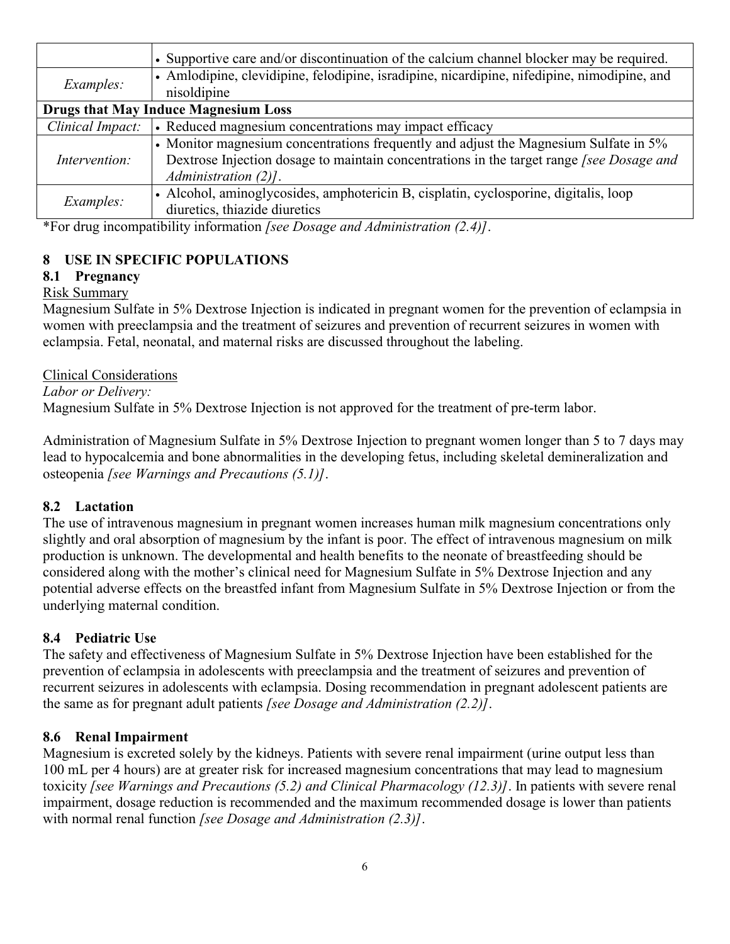|                                             | • Supportive care and/or discontinuation of the calcium channel blocker may be required.                                                                                                                           |  |  |  |
|---------------------------------------------|--------------------------------------------------------------------------------------------------------------------------------------------------------------------------------------------------------------------|--|--|--|
| <i>Examples:</i>                            | • Amlodipine, clevidipine, felodipine, isradipine, nicardipine, nifedipine, nimodipine, and<br>nisoldipine                                                                                                         |  |  |  |
| <b>Drugs that May Induce Magnesium Loss</b> |                                                                                                                                                                                                                    |  |  |  |
| Clinical Impact:                            | • Reduced magnesium concentrations may impact efficacy                                                                                                                                                             |  |  |  |
| Intervention:                               | • Monitor magnesium concentrations frequently and adjust the Magnesium Sulfate in 5%<br>Dextrose Injection dosage to maintain concentrations in the target range <i>[see Dosage and</i><br>Administration $(2)$ ]. |  |  |  |
| Examples:                                   | • Alcohol, aminoglycosides, amphotericin B, cisplatin, cyclosporine, digitalis, loop<br>diuretics, thiazide diuretics                                                                                              |  |  |  |

\*For drug incompatibility information *[see Dosage and Administration (2.4)]*.

### **8 USE IN SPECIFIC POPULATIONS**

### **8.1 Pregnancy**

### Risk Summary

Magnesium Sulfate in 5% Dextrose Injection is indicated in pregnant women for the prevention of eclampsia in women with preeclampsia and the treatment of seizures and prevention of recurrent seizures in women with eclampsia. Fetal, neonatal, and maternal risks are discussed throughout the labeling.

### Clinical Considerations

*Labor or Delivery:*

Magnesium Sulfate in 5% Dextrose Injection is not approved for the treatment of pre-term labor.

Administration of Magnesium Sulfate in 5% Dextrose Injection to pregnant women longer than 5 to 7 days may lead to hypocalcemia and bone abnormalities in the developing fetus, including skeletal demineralization and osteopenia *[see Warnings and Precautions (5.1)]*.

### **8.2 Lactation**

The use of intravenous magnesium in pregnant women increases human milk magnesium concentrations only slightly and oral absorption of magnesium by the infant is poor. The effect of intravenous magnesium on milk production is unknown. The developmental and health benefits to the neonate of breastfeeding should be considered along with the mother's clinical need for Magnesium Sulfate in 5% Dextrose Injection and any potential adverse effects on the breastfed infant from Magnesium Sulfate in 5% Dextrose Injection or from the underlying maternal condition.

### **8.4 Pediatric Use**

The safety and effectiveness of Magnesium Sulfate in 5% Dextrose Injection have been established for the prevention of eclampsia in adolescents with preeclampsia and the treatment of seizures and prevention of recurrent seizures in adolescents with eclampsia. Dosing recommendation in pregnant adolescent patients are the same as for pregnant adult patients *[see Dosage and Administration (2.2)]*.

#### **8.6 Renal Impairment**

Magnesium is excreted solely by the kidneys. Patients with severe renal impairment (urine output less than 100 mL per 4 hours) are at greater risk for increased magnesium concentrations that may lead to magnesium toxicity *[see Warnings and Precautions (5.2) and Clinical Pharmacology (12.3)]*. In patients with severe renal impairment, dosage reduction is recommended and the maximum recommended dosage is lower than patients with normal renal function *[see Dosage and Administration (2.3)]*.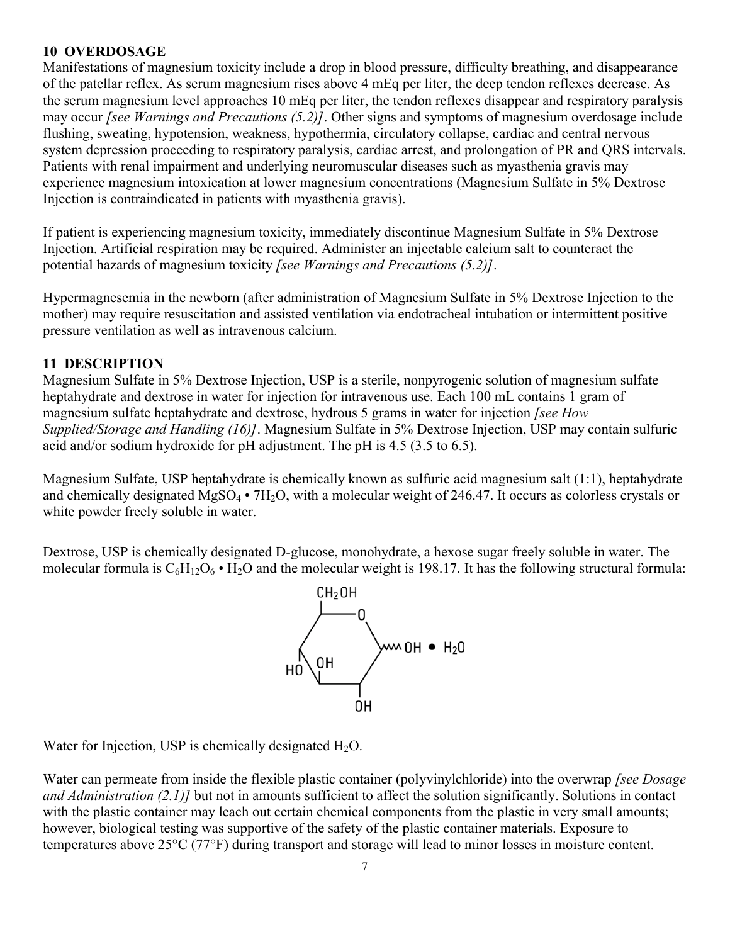### **10 OVERDOSAGE**

Manifestations of magnesium toxicity include a drop in blood pressure, difficulty breathing, and disappearance of the patellar reflex. As serum magnesium rises above 4 mEq per liter, the deep tendon reflexes decrease. As the serum magnesium level approaches 10 mEq per liter, the tendon reflexes disappear and respiratory paralysis may occur *[see Warnings and Precautions (5.2)]*. Other signs and symptoms of magnesium overdosage include flushing, sweating, hypotension, weakness, hypothermia, circulatory collapse, cardiac and central nervous system depression proceeding to respiratory paralysis, cardiac arrest, and prolongation of PR and QRS intervals. Patients with renal impairment and underlying neuromuscular diseases such as myasthenia gravis may experience magnesium intoxication at lower magnesium concentrations (Magnesium Sulfate in 5% Dextrose Injection is contraindicated in patients with myasthenia gravis).

If patient is experiencing magnesium toxicity, immediately discontinue Magnesium Sulfate in 5% Dextrose Injection. Artificial respiration may be required. Administer an injectable calcium salt to counteract the potential hazards of magnesium toxicity *[see Warnings and Precautions (5.2)]*.

Hypermagnesemia in the newborn (after administration of Magnesium Sulfate in 5% Dextrose Injection to the mother) may require resuscitation and assisted ventilation via endotracheal intubation or intermittent positive pressure ventilation as well as intravenous calcium.

# **11 DESCRIPTION**

Magnesium Sulfate in 5% Dextrose Injection, USP is a sterile, nonpyrogenic solution of magnesium sulfate heptahydrate and dextrose in water for injection for intravenous use. Each 100 mL contains 1 gram of magnesium sulfate heptahydrate and dextrose, hydrous 5 grams in water for injection *[see How Supplied/Storage and Handling (16)]*. Magnesium Sulfate in 5% Dextrose Injection, USP may contain sulfuric acid and/or sodium hydroxide for pH adjustment. The pH is 4.5 (3.5 to 6.5).

Magnesium Sulfate, USP heptahydrate is chemically known as sulfuric acid magnesium salt (1:1), heptahydrate and chemically designated  $MgSO_4 \cdot 7H_2O$ , with a molecular weight of 246.47. It occurs as colorless crystals or white powder freely soluble in water.

Dextrose, USP is chemically designated D-glucose, monohydrate, a hexose sugar freely soluble in water. The molecular formula is  $C_6H_{12}O_6$  • H<sub>2</sub>O and the molecular weight is 198.17. It has the following structural formula:



Water for Injection, USP is chemically designated  $H_2O$ .

Water can permeate from inside the flexible plastic container (polyvinylchloride) into the overwrap *[see Dosage and Administration (2.1)]* but not in amounts sufficient to affect the solution significantly. Solutions in contact with the plastic container may leach out certain chemical components from the plastic in very small amounts; however, biological testing was supportive of the safety of the plastic container materials. Exposure to temperatures above 25°C (77°F) during transport and storage will lead to minor losses in moisture content.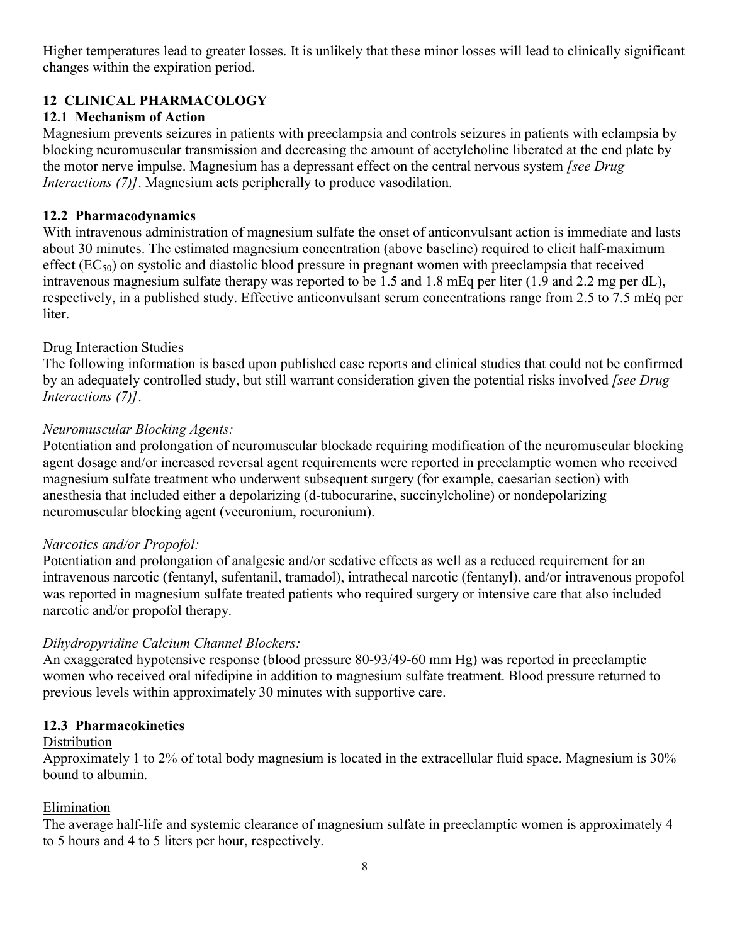Higher temperatures lead to greater losses. It is unlikely that these minor losses will lead to clinically significant changes within the expiration period.

# **12 CLINICAL PHARMACOLOGY**

### **12.1 Mechanism of Action**

Magnesium prevents seizures in patients with preeclampsia and controls seizures in patients with eclampsia by blocking neuromuscular transmission and decreasing the amount of acetylcholine liberated at the end plate by the motor nerve impulse. Magnesium has a depressant effect on the central nervous system *[see Drug Interactions (7)]*. Magnesium acts peripherally to produce vasodilation.

### **12.2 Pharmacodynamics**

With intravenous administration of magnesium sulfate the onset of anticonvulsant action is immediate and lasts about 30 minutes. The estimated magnesium concentration (above baseline) required to elicit half-maximum effect  $(EC_{50})$  on systolic and diastolic blood pressure in pregnant women with preeclampsia that received intravenous magnesium sulfate therapy was reported to be 1.5 and 1.8 mEq per liter (1.9 and 2.2 mg per dL), respectively, in a published study. Effective anticonvulsant serum concentrations range from 2.5 to 7.5 mEq per liter.

### Drug Interaction Studies

The following information is based upon published case reports and clinical studies that could not be confirmed by an adequately controlled study, but still warrant consideration given the potential risks involved *[see Drug Interactions (7)]*.

### *Neuromuscular Blocking Agents:*

Potentiation and prolongation of neuromuscular blockade requiring modification of the neuromuscular blocking agent dosage and/or increased reversal agent requirements were reported in preeclamptic women who received magnesium sulfate treatment who underwent subsequent surgery (for example, caesarian section) with anesthesia that included either a depolarizing (d-tubocurarine, succinylcholine) or nondepolarizing neuromuscular blocking agent (vecuronium, rocuronium).

### *Narcotics and/or Propofol:*

Potentiation and prolongation of analgesic and/or sedative effects as well as a reduced requirement for an intravenous narcotic (fentanyl, sufentanil, tramadol), intrathecal narcotic (fentanyl), and/or intravenous propofol was reported in magnesium sulfate treated patients who required surgery or intensive care that also included narcotic and/or propofol therapy.

### *Dihydropyridine Calcium Channel Blockers:*

An exaggerated hypotensive response (blood pressure 80-93/49-60 mm Hg) was reported in preeclamptic women who received oral nifedipine in addition to magnesium sulfate treatment. Blood pressure returned to previous levels within approximately 30 minutes with supportive care.

### **12.3 Pharmacokinetics**

### **Distribution**

Approximately 1 to 2% of total body magnesium is located in the extracellular fluid space. Magnesium is 30% bound to albumin.

#### Elimination

The average half-life and systemic clearance of magnesium sulfate in preeclamptic women is approximately 4 to 5 hours and 4 to 5 liters per hour, respectively.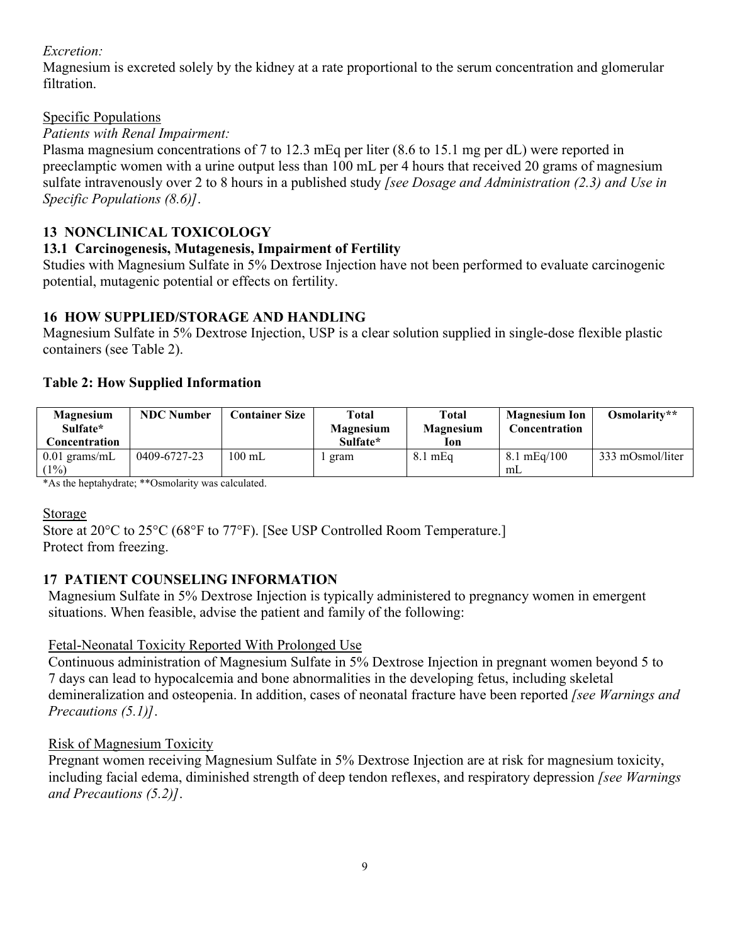### *Excretion:*

Magnesium is excreted solely by the kidney at a rate proportional to the serum concentration and glomerular filtration.

## Specific Populations

## *Patients with Renal Impairment:*

Plasma magnesium concentrations of 7 to 12.3 mEq per liter (8.6 to 15.1 mg per dL) were reported in preeclamptic women with a urine output less than 100 mL per 4 hours that received 20 grams of magnesium sulfate intravenously over 2 to 8 hours in a published study *[see Dosage and Administration (2.3) and Use in Specific Populations (8.6)]*.

# **13 NONCLINICAL TOXICOLOGY**

### **13.1 Carcinogenesis, Mutagenesis, Impairment of Fertility**

Studies with Magnesium Sulfate in 5% Dextrose Injection have not been performed to evaluate carcinogenic potential, mutagenic potential or effects on fertility.

### **16 HOW SUPPLIED/STORAGE AND HANDLING**

Magnesium Sulfate in 5% Dextrose Injection, USP is a clear solution supplied in single-dose flexible plastic containers (see Table 2).

### **Table 2: How Supplied Information**

| <b>Magnesium</b><br>Sulfate*<br>Concentration | <b>NDC</b> Number | <b>Container Size</b> | Total<br>Magnesium<br>Sulfate* | Total<br><b>Magnesium</b><br>lon | <b>Magnesium Ion</b><br>Concentration | Osmolarity**     |
|-----------------------------------------------|-------------------|-----------------------|--------------------------------|----------------------------------|---------------------------------------|------------------|
| $0.01$ grams/mL<br>(1%)                       | 0409-6727-23      | $100 \text{ mL}$      | gram                           | $8.1 \text{ mEq}$                | $8.1 \text{ mEq}/100$<br>mL           | 333 mOsmol/liter |

\*As the heptahydrate; \*\*Osmolarity was calculated.

### Storage

Store at 20°C to 25°C (68°F to 77°F). [See USP Controlled Room Temperature.] Protect from freezing.

# **17 PATIENT COUNSELING INFORMATION**

Magnesium Sulfate in 5% Dextrose Injection is typically administered to pregnancy women in emergent situations. When feasible, advise the patient and family of the following:

# Fetal-Neonatal Toxicity Reported With Prolonged Use

Continuous administration of Magnesium Sulfate in 5% Dextrose Injection in pregnant women beyond 5 to 7 days can lead to hypocalcemia and bone abnormalities in the developing fetus, including skeletal demineralization and osteopenia. In addition, cases of neonatal fracture have been reported *[see Warnings and Precautions (5.1)]*.

### Risk of Magnesium Toxicity

Pregnant women receiving Magnesium Sulfate in 5% Dextrose Injection are at risk for magnesium toxicity, including facial edema, diminished strength of deep tendon reflexes, and respiratory depression *[see Warnings and Precautions (5.2)]*.